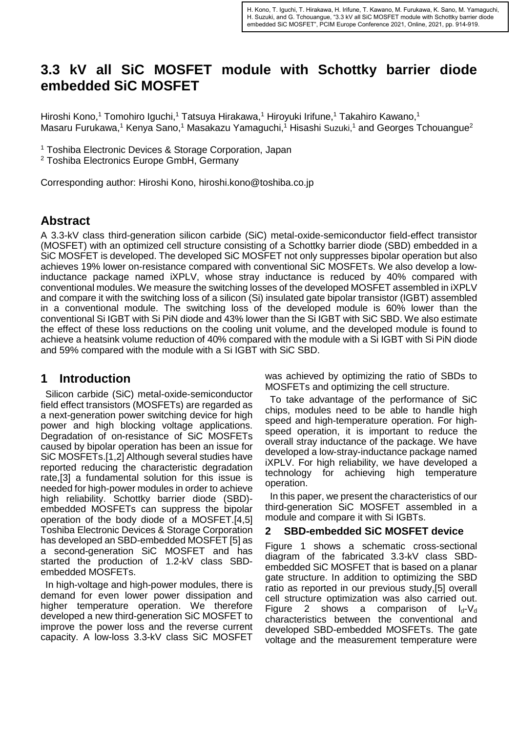# **3.3 kV all SiC MOSFET module with Schottky barrier diode embedded SiC MOSFET**

Hiroshi Kono,<sup>1</sup> Tomohiro Iguchi,<sup>1</sup> Tatsuya Hirakawa,<sup>1</sup> Hiroyuki Irifune,<sup>1</sup> Takahiro Kawano,<sup>1</sup> Masaru Furukawa,<sup>1</sup> Kenya Sano,<sup>1</sup> Masakazu Yamaguchi,<sup>1</sup> Hisashi Suzuki,<sup>1</sup> and Georges Tchouangue<sup>2</sup>

<sup>1</sup> Toshiba Electronic Devices & Storage Corporation, Japan

<sup>2</sup> Toshiba Electronics Europe GmbH, Germany

Corresponding author: Hiroshi Kono, hiroshi.kono@toshiba.co.jp

#### **Abstract**

A 3.3-kV class third-generation silicon carbide (SiC) metal-oxide-semiconductor field-effect transistor (MOSFET) with an optimized cell structure consisting of a Schottky barrier diode (SBD) embedded in a SiC MOSFET is developed. The developed SiC MOSFET not only suppresses bipolar operation but also achieves 19% lower on-resistance compared with conventional SiC MOSFETs. We also develop a lowinductance package named iXPLV, whose stray inductance is reduced by 40% compared with conventional modules. We measure the switching losses of the developed MOSFET assembled in iXPLV and compare it with the switching loss of a silicon (Si) insulated gate bipolar transistor (IGBT) assembled in a conventional module. The switching loss of the developed module is 60% lower than the conventional Si IGBT with Si PiN diode and 43% lower than the Si IGBT with SiC SBD. We also estimate the effect of these loss reductions on the cooling unit volume, and the developed module is found to achieve a heatsink volume reduction of 40% compared with the module with a Si IGBT with Si PiN diode and 59% compared with the module with a Si IGBT with SiC SBD.

#### **1 Introduction**

Silicon carbide (SiC) metal-oxide-semiconductor field effect transistors (MOSFETs) are regarded as a next-generation power switching device for high power and high blocking voltage applications. Degradation of on-resistance of SiC MOSFETs caused by bipolar operation has been an issue for SiC MOSFETs.[1,2] Although several studies have reported reducing the characteristic degradation rate,[3] a fundamental solution for this issue is needed for high-power modules in order to achieve high reliability. Schottky barrier diode (SBD) embedded MOSFETs can suppress the bipolar operation of the body diode of a MOSFET.[4,5] Toshiba Electronic Devices & Storage Corporation has developed an SBD-embedded MOSFET [5] as a second-generation SiC MOSFET and has started the production of 1.2-kV class SBDembedded MOSFETs.

In high-voltage and high-power modules, there is demand for even lower power dissipation and higher temperature operation. We therefore developed a new third-generation SiC MOSFET to improve the power loss and the reverse current capacity. A low-loss 3.3-kV class SiC MOSFET

was achieved by optimizing the ratio of SBDs to MOSFETs and optimizing the cell structure.

To take advantage of the performance of SiC chips, modules need to be able to handle high speed and high-temperature operation. For highspeed operation, it is important to reduce the overall stray inductance of the package. We have developed a low-stray-inductance package named iXPLV. For high reliability, we have developed a technology for achieving high temperature operation.

In this paper, we present the characteristics of our third-generation SiC MOSFET assembled in a module and compare it with Si IGBTs.

#### **2 SBD-embedded SiC MOSFET device**

Figure 1 shows a schematic cross-sectional diagram of the fabricated 3.3-kV class SBDembedded SiC MOSFET that is based on a planar gate structure. In addition to optimizing the SBD ratio as reported in our previous study,[5] overall cell structure optimization was also carried out. Figure 2 shows a comparison of  $I_d-V_d$ characteristics between the conventional and developed SBD-embedded MOSFETs. The gate voltage and the measurement temperature were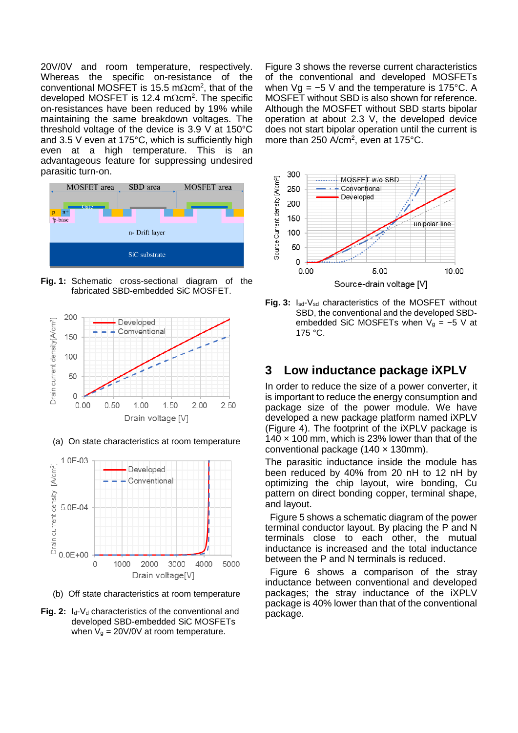20V/0V and room temperature, respectively. Whereas the specific on-resistance of the conventional MOSFET is 15.5 m $\Omega$ cm<sup>2</sup>, that of the developed MOSFET is 12.4 m $\Omega$ cm<sup>2</sup>. The specific on-resistances have been reduced by 19% while maintaining the same breakdown voltages. The threshold voltage of the device is 3.9 V at 150°C and 3.5 V even at 175°C, which is sufficiently high even at a high temperature. This is an advantageous feature for suppressing undesired parasitic turn-on.



**Fig. 1:** Schematic cross-sectional diagram of the fabricated SBD-embedded SiC MOSFET.



(a) On state characteristics at room temperature



(b) Off state characteristics at room temperature

**Fig. 2:** I<sub>d</sub>-V<sub>d</sub> characteristics of the conventional and developed SBD-embedded SiC MOSFETs when  $V_g = 20V/0V$  at room temperature.

Figure 3 shows the reverse current characteristics of the conventional and developed MOSFETs when Vg = −5 V and the temperature is 175°C. A MOSFET without SBD is also shown for reference. Although the MOSFET without SBD starts bipolar operation at about 2.3 V, the developed device does not start bipolar operation until the current is more than 250 A/cm<sup>2</sup>, even at 175°C.



**Fig. 3:** Isd-Vsd characteristics of the MOSFET without SBD, the conventional and the developed SBDembedded SiC MOSFETs when  $V<sub>q</sub> = -5$  V at 175 °C.

#### **3 Low inductance package iXPLV**

In order to reduce the size of a power converter, it is important to reduce the energy consumption and package size of the power module. We have developed a new package platform named iXPLV (Figure 4). The footprint of the iXPLV package is  $140 \times 100$  mm, which is 23% lower than that of the conventional package (140 × 130mm).

The parasitic inductance inside the module has been reduced by 40% from 20 nH to 12 nH by optimizing the chip layout, wire bonding, Cu pattern on direct bonding copper, terminal shape, and layout.

Figure 5 shows a schematic diagram of the power terminal conductor layout. By placing the P and N terminals close to each other, the mutual inductance is increased and the total inductance between the P and N terminals is reduced.

Figure 6 shows a comparison of the stray inductance between conventional and developed packages; the stray inductance of the iXPLV package is 40% lower than that of the conventional package.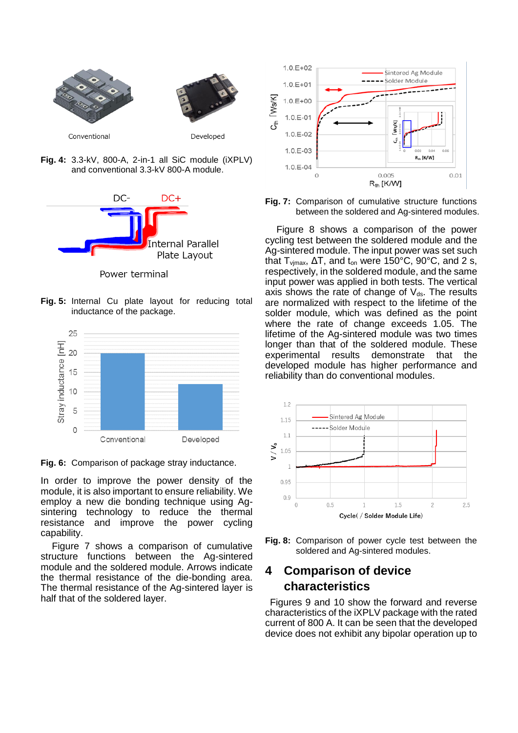

**Fig. 4:** 3.3-kV, 800-A, 2-in-1 all SiC module (iXPLV) and conventional 3.3-kV 800-A module.



Power terminal

**Fig. 5:** Internal Cu plate layout for reducing total inductance of the package.



**Fig. 6:** Comparison of package stray inductance.

In order to improve the power density of the module, it is also important to ensure reliability. We employ a new die bonding technique using Agsintering technology to reduce the thermal resistance and improve the power cycling capability.

Figure 7 shows a comparison of cumulative structure functions between the Ag-sintered module and the soldered module. Arrows indicate the thermal resistance of the die-bonding area. The thermal resistance of the Ag-sintered layer is half that of the soldered layer.



**Fig. 7:** Comparison of cumulative structure functions between the soldered and Ag-sintered modules.

Figure 8 shows a comparison of the power cycling test between the soldered module and the Ag-sintered module. The input power was set such that  $T_{\text{vimax}}$ ,  $\Delta T$ , and  $t_{\text{on}}$  were 150°C, 90°C, and 2 s, respectively, in the soldered module, and the same input power was applied in both tests. The vertical axis shows the rate of change of  $V_{ds}$ . The results are normalized with respect to the lifetime of the solder module, which was defined as the point where the rate of change exceeds 1.05. The lifetime of the Ag-sintered module was two times longer than that of the soldered module. These experimental results demonstrate that the developed module has higher performance and reliability than do conventional modules.





## **4 Comparison of device characteristics**

Figures 9 and 10 show the forward and reverse characteristics of the iXPLV package with the rated current of 800 A. It can be seen that the developed device does not exhibit any bipolar operation up to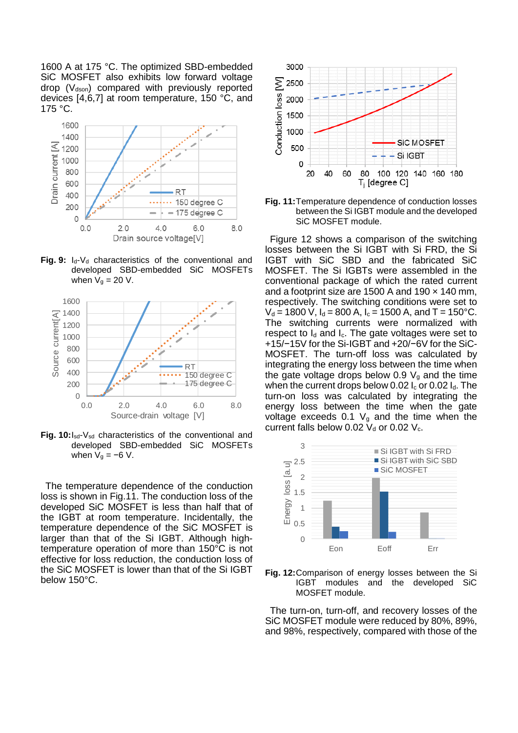1600 A at 175 °C. The optimized SBD-embedded SiC MOSFET also exhibits low forward voltage drop  $(V_{dson})$  compared with previously reported devices [4,6,7] at room temperature, 150 °C, and 175 °C.



Fig. 9: I<sub>d</sub>-V<sub>d</sub> characteristics of the conventional and developed SBD-embedded SiC MOSFETs when  $V_g = 20$  V.



Fig. 10: I<sub>sd</sub>-V<sub>sd</sub> characteristics of the conventional and developed SBD-embedded SiC MOSFETs when  $V_g = -6 V$ .

The temperature dependence of the conduction loss is shown in Fig.11. The conduction loss of the developed SiC MOSFET is less than half that of the IGBT at room temperature. Incidentally, the temperature dependence of the SiC MOSFET is larger than that of the Si IGBT. Although hightemperature operation of more than 150°C is not effective for loss reduction, the conduction loss of the SiC MOSFET is lower than that of the Si IGBT below 150°C.



**Fig. 11:**Temperature dependence of conduction losses between the Si IGBT module and the developed SiC MOSFET module.

Figure 12 shows a comparison of the switching losses between the Si IGBT with Si FRD, the Si IGBT with SiC SBD and the fabricated SiC MOSFET. The Si IGBTs were assembled in the conventional package of which the rated current and a footprint size are 1500 A and 190  $\times$  140 mm, respectively. The switching conditions were set to  $V_d = 1800$  V,  $I_d = 800$  A,  $I_c = 1500$  A, and T = 150°C. The switching currents were normalized with respect to  $I_d$  and  $I_c$ . The gate voltages were set to +15/−15V for the Si-IGBT and +20/−6V for the SiC-MOSFET. The turn-off loss was calculated by integrating the energy loss between the time when the gate voltage drops below 0.9  $V_q$  and the time when the current drops below 0.02  $I_c$  or 0.02  $I_d$ . The turn-on loss was calculated by integrating the energy loss between the time when the gate voltage exceeds 0.1  $V_q$  and the time when the current falls below 0.02  $V_d$  or 0.02  $V_c$ .



**Fig. 12:**Comparison of energy losses between the Si IGBT modules and the developed SiC MOSFET module.

The turn-on, turn-off, and recovery losses of the SiC MOSFET module were reduced by 80%, 89%, and 98%, respectively, compared with those of the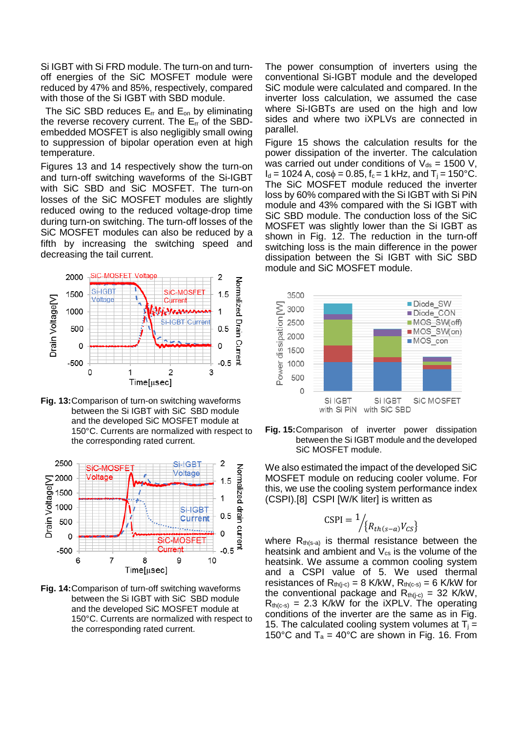Si IGBT with Si FRD module. The turn-on and turnoff energies of the SiC MOSFET module were reduced by 47% and 85%, respectively, compared with those of the Si IGBT with SBD module.

The SiC SBD reduces  $E_{rr}$  and  $E_{on}$  by eliminating the reverse recovery current. The  $E_{rr}$  of the SBDembedded MOSFET is also negligibly small owing to suppression of bipolar operation even at high temperature.

Figures 13 and 14 respectively show the turn-on and turn-off switching waveforms of the Si-IGBT with SiC SBD and SiC MOSFET. The turn-on losses of the SiC MOSFET modules are slightly reduced owing to the reduced voltage-drop time during turn-on switching. The turn-off losses of the SiC MOSFET modules can also be reduced by a fifth by increasing the switching speed and decreasing the tail current.



**Fig. 13:**Comparison of turn-on switching waveforms between the Si IGBT with SiC SBD module and the developed SiC MOSFET module at 150°C. Currents are normalized with respect to the corresponding rated current.



**Fig. 14:**Comparison of turn-off switching waveforms between the Si IGBT with SiC SBD module and the developed SiC MOSFET module at 150°C. Currents are normalized with respect to the corresponding rated current.

The power consumption of inverters using the conventional Si-IGBT module and the developed SiC module were calculated and compared. In the inverter loss calculation, we assumed the case where Si-IGBTs are used on the high and low sides and where two iXPLVs are connected in parallel.

Figure 15 shows the calculation results for the power dissipation of the inverter. The calculation was carried out under conditions of  $V_{ds}$  = 1500 V,  $I_d = 1024$  A,  $cos\phi = 0.85$ ,  $f_c = 1$  kHz, and  $T_i = 150$ °C. The SiC MOSFET module reduced the inverter loss by 60% compared with the Si IGBT with Si PiN module and 43% compared with the Si IGBT with SiC SBD module. The conduction loss of the SiC MOSFET was slightly lower than the Si IGBT as shown in Fig. 12. The reduction in the turn-off switching loss is the main difference in the power dissipation between the Si IGBT with SiC SBD module and SiC MOSFET module.



**Fig. 15:**Comparison of inverter power dissipation between the Si IGBT module and the developed SiC MOSFET module.

We also estimated the impact of the developed SiC MOSFET module on reducing cooler volume. For this, we use the cooling system performance index (CSPI).[8] CSPI [W/K liter] is written as

$$
\text{CSPI} = \frac{1}{\left\langle R_{th(s-a)} V_{CS} \right\rangle}
$$

where  $R_{th(s-a)}$  is thermal resistance between the heatsink and ambient and  $V_{\text{cs}}$  is the volume of the heatsink. We assume a common cooling system and a CSPI value of 5. We used thermal resistances of  $R_{th(i-c)} = 8$  K/kW,  $R_{th(c-s)} = 6$  K/kW for the conventional package and  $R_{th(i-c)} = 32$  K/kW,  $R_{th(c-s)} = 2.3$  K/kW for the iXPLV. The operating conditions of the inverter are the same as in Fig. 15. The calculated cooling system volumes at  $T_i =$ 150°C and  $T_a = 40$ °C are shown in Fig. 16. From